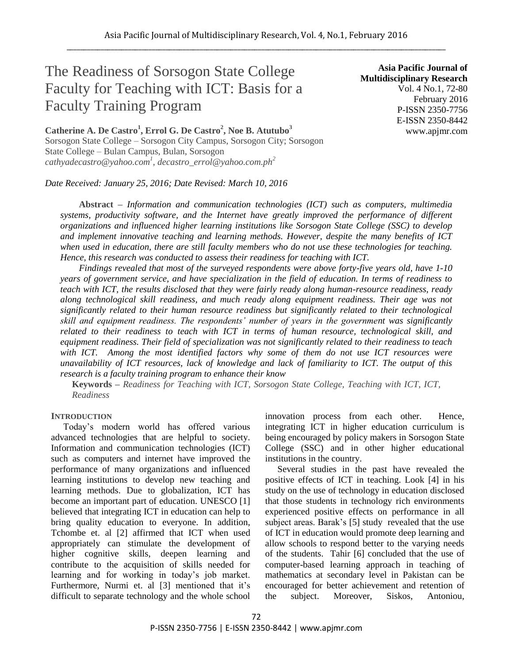# The Readiness of Sorsogon State College Faculty for Teaching with ICT: Basis for a Faculty Training Program

**Catherine A. De Castro<sup>1</sup> , Errol G. De Castro<sup>2</sup> , Noe B. Atutubo<sup>3</sup>** Sorsogon State College – Sorsogon City Campus, Sorsogon City; Sorsogon State College – Bulan Campus, Bulan, Sorsogon *cathyadecastro@yahoo.com<sup>1</sup> , decastro\_errol@yahoo.com.ph<sup>2</sup>*

*Date Received: January 25, 2016; Date Revised: March 10, 2016*

**Asia Pacific Journal of Multidisciplinary Research** Vol. 4 No.1, 72-80 February 2016 P-ISSN 2350-7756 E-ISSN 2350-8442 www.apjmr.com

**Abstract –** *Information and communication technologies (ICT) such as computers, multimedia systems, productivity software, and the Internet have greatly improved the performance of different organizations and influenced higher learning institutions like Sorsogon State College (SSC) to develop and implement innovative teaching and learning methods. However, despite the many benefits of ICT when used in education, there are still faculty members who do not use these technologies for teaching. Hence, this research was conducted to assess their readiness for teaching with ICT.*

*Findings revealed that most of the surveyed respondents were above forty-five years old, have 1-10 years of government service, and have specialization in the field of education. In terms of readiness to teach with ICT, the results disclosed that they were fairly ready along human-resource readiness, ready along technological skill readiness, and much ready along equipment readiness. Their age was not significantly related to their human resource readiness but significantly related to their technological skill and equipment readiness. The respondents' number of years in the government was significantly related to their readiness to teach with ICT in terms of human resource, technological skill, and equipment readiness. Their field of specialization was not significantly related to their readiness to teach with ICT. Among the most identified factors why some of them do not use ICT resources were unavailability of ICT resources, lack of knowledge and lack of familiarity to ICT. The output of this research is a faculty training program to enhance their know*

**Keywords** *– Readiness for Teaching with ICT, Sorsogon State College, Teaching with ICT, ICT, Readiness*

## **INTRODUCTION**

Today's modern world has offered various advanced technologies that are helpful to society. Information and communication technologies (ICT) such as computers and internet have improved the performance of many organizations and influenced learning institutions to develop new teaching and learning methods. Due to globalization, ICT has become an important part of education. UNESCO [1] believed that integrating ICT in education can help to bring quality education to everyone. In addition, Tchombe et. al [2] affirmed that ICT when used appropriately can stimulate the development of higher cognitive skills, deepen learning and contribute to the acquisition of skills needed for learning and for working in today's job market. Furthermore, Nurmi et. al [3] mentioned that it's difficult to separate technology and the whole school

innovation process from each other. Hence, integrating ICT in higher education curriculum is being encouraged by policy makers in Sorsogon State College (SSC) and in other higher educational institutions in the country.

Several studies in the past have revealed the positive effects of ICT in teaching. Look [4] in his study on the use of technology in education disclosed that those students in technology rich environments experienced positive effects on performance in all subject areas. Barak's [5] study revealed that the use of ICT in education would promote deep learning and allow schools to respond better to the varying needs of the students. Tahir [6] concluded that the use of computer-based learning approach in teaching of mathematics at secondary level in Pakistan can be encouraged for better achievement and retention of the subject. Moreover, Siskos, Antoniou,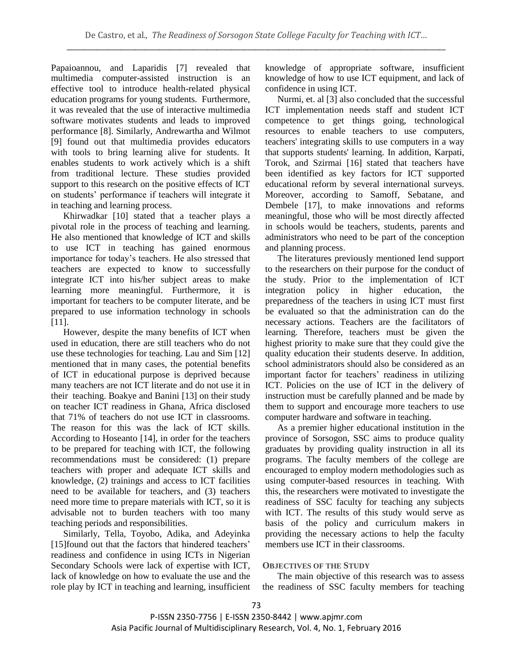Papaioannou, and Laparidis [7] revealed that multimedia computer-assisted instruction is an effective tool to introduce health-related physical education programs for young students. Furthermore, it was revealed that the use of interactive multimedia software motivates students and leads to improved performance [8]. Similarly, Andrewartha and Wilmot [9] found out that multimedia provides educators with tools to bring learning alive for students. It enables students to work actively which is a shift from traditional lecture. These studies provided support to this research on the positive effects of ICT on students' performance if teachers will integrate it in teaching and learning process.

Khirwadkar [10] stated that a teacher plays a pivotal role in the process of teaching and learning. He also mentioned that knowledge of ICT and skills to use ICT in teaching has gained enormous importance for today's teachers. He also stressed that teachers are expected to know to successfully integrate ICT into his/her subject areas to make learning more meaningful. Furthermore, it is important for teachers to be computer literate, and be prepared to use information technology in schools [11].

However, despite the many benefits of ICT when used in education, there are still teachers who do not use these technologies for teaching. Lau and Sim [12] mentioned that in many cases, the potential benefits of ICT in educational purpose is deprived because many teachers are not ICT literate and do not use it in their teaching. Boakye and Banini [13] on their study on teacher ICT readiness in Ghana, Africa disclosed that 71% of teachers do not use ICT in classrooms. The reason for this was the lack of ICT skills. According to Hoseanto [14], in order for the teachers to be prepared for teaching with ICT, the following recommendations must be considered: (1) prepare teachers with proper and adequate ICT skills and knowledge, (2) trainings and access to ICT facilities need to be available for teachers, and (3) teachers need more time to prepare materials with ICT, so it is advisable not to burden teachers with too many teaching periods and responsibilities.

Similarly, Tella, Toyobo, Adika, and Adeyinka [15] found out that the factors that hindered teachers' readiness and confidence in using ICTs in Nigerian Secondary Schools were lack of expertise with ICT, lack of knowledge on how to evaluate the use and the role play by ICT in teaching and learning, insufficient knowledge of appropriate software, insufficient knowledge of how to use ICT equipment, and lack of confidence in using ICT.

Nurmi, et. al [3] also concluded that the successful ICT implementation needs staff and student ICT competence to get things going, technological resources to enable teachers to use computers, teachers' integrating skills to use computers in a way that supports students' learning. In addition, Karpati, Torok, and Szirmai [16] stated that teachers have been identified as key factors for ICT supported educational reform by several international surveys. Moreover, according to Samoff, Sebatane, and Dembele [17], to make innovations and reforms meaningful, those who will be most directly affected in schools would be teachers, students, parents and administrators who need to be part of the conception and planning process.

The literatures previously mentioned lend support to the researchers on their purpose for the conduct of the study. Prior to the implementation of ICT integration policy in higher education, the preparedness of the teachers in using ICT must first be evaluated so that the administration can do the necessary actions. Teachers are the facilitators of learning. Therefore, teachers must be given the highest priority to make sure that they could give the quality education their students deserve. In addition, school administrators should also be considered as an important factor for teachers' readiness in utilizing ICT. Policies on the use of ICT in the delivery of instruction must be carefully planned and be made by them to support and encourage more teachers to use computer hardware and software in teaching.

As a premier higher educational institution in the province of Sorsogon, SSC aims to produce quality graduates by providing quality instruction in all its programs. The faculty members of the college are encouraged to employ modern methodologies such as using computer-based resources in teaching. With this, the researchers were motivated to investigate the readiness of SSC faculty for teaching any subjects with ICT. The results of this study would serve as basis of the policy and curriculum makers in providing the necessary actions to help the faculty members use ICT in their classrooms.

# **OBJECTIVES OF THE STUDY**

The main objective of this research was to assess the readiness of SSC faculty members for teaching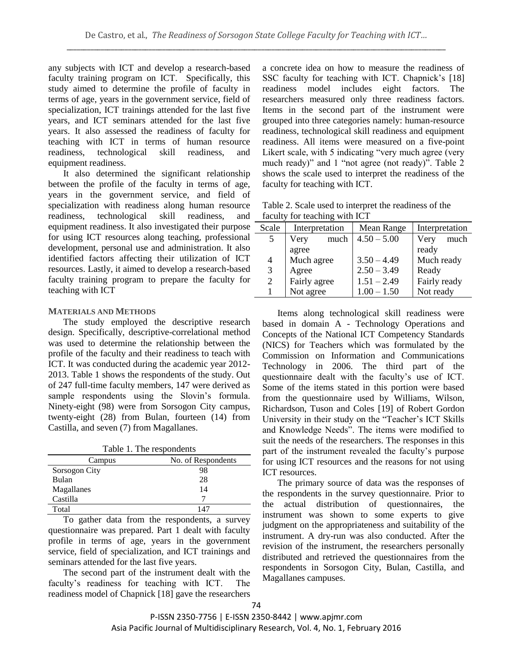any subjects with ICT and develop a research-based faculty training program on ICT. Specifically, this study aimed to determine the profile of faculty in terms of age, years in the government service, field of specialization, ICT trainings attended for the last five years, and ICT seminars attended for the last five years. It also assessed the readiness of faculty for teaching with ICT in terms of human resource readiness, technological skill readiness, and equipment readiness.

It also determined the significant relationship between the profile of the faculty in terms of age, years in the government service, and field of specialization with readiness along human resource readiness, technological skill readiness, and equipment readiness. It also investigated their purpose for using ICT resources along teaching, professional development, personal use and administration. It also identified factors affecting their utilization of ICT resources. Lastly, it aimed to develop a research-based faculty training program to prepare the faculty for teaching with ICT

## **MATERIALS AND METHODS**

The study employed the descriptive research design. Specifically, descriptive-correlational method was used to determine the relationship between the profile of the faculty and their readiness to teach with ICT. It was conducted during the academic year 2012- 2013. Table 1 shows the respondents of the study. Out of 247 full-time faculty members, 147 were derived as sample respondents using the Slovin's formula. Ninety-eight (98) were from Sorsogon City campus, twenty-eight (28) from Bulan, fourteen (14) from Castilla, and seven (7) from Magallanes.

Table 1. The respondents

| Campus        | No. of Respondents |
|---------------|--------------------|
| Sorsogon City | 98                 |
| Bulan         | 28                 |
| Magallanes    | 14                 |
| Castilla      |                    |
| Total         | 147                |

To gather data from the respondents, a survey questionnaire was prepared. Part 1 dealt with faculty profile in terms of age, years in the government service, field of specialization, and ICT trainings and seminars attended for the last five years.

The second part of the instrument dealt with the faculty's readiness for teaching with ICT. The readiness model of Chapnick [18] gave the researchers

a concrete idea on how to measure the readiness of SSC faculty for teaching with ICT. Chapnick's [18] readiness model includes eight factors. The researchers measured only three readiness factors. Items in the second part of the instrument were grouped into three categories namely: human-resource readiness, technological skill readiness and equipment readiness. All items were measured on a five-point Likert scale, with 5 indicating "very much agree (very much ready)" and 1 "not agree (not ready)". Table 2 shows the scale used to interpret the readiness of the faculty for teaching with ICT.

| Table 2. Scale used to interpret the readiness of the |
|-------------------------------------------------------|
| faculty for teaching with ICT                         |

| Scale          | Interpretation | Mean Range    | Interpretation |  |
|----------------|----------------|---------------|----------------|--|
| 5              | much<br>Very   | $4.50 - 5.00$ | Very<br>much   |  |
|                | agree          |               | ready          |  |
| 4              | Much agree     | $3.50 - 4.49$ | Much ready     |  |
| 3              | Agree          | $2.50 - 3.49$ | Ready          |  |
| $\overline{2}$ | Fairly agree   | $1.51 - 2.49$ | Fairly ready   |  |
|                | Not agree      | $1.00 - 1.50$ | Not ready      |  |

Items along technological skill readiness were based in domain A - Technology Operations and Concepts of the National ICT Competency Standards (NICS) for Teachers which was formulated by the Commission on Information and Communications Technology in 2006. The third part of the questionnaire dealt with the faculty's use of ICT. Some of the items stated in this portion were based from the questionnaire used by Williams, Wilson, Richardson, Tuson and Coles [19] of Robert Gordon University in their study on the "Teacher's ICT Skills and Knowledge Needs". The items were modified to suit the needs of the researchers. The responses in this part of the instrument revealed the faculty's purpose for using ICT resources and the reasons for not using ICT resources.

The primary source of data was the responses of the respondents in the survey questionnaire. Prior to the actual distribution of questionnaires, the instrument was shown to some experts to give judgment on the appropriateness and suitability of the instrument. A dry-run was also conducted. After the revision of the instrument, the researchers personally distributed and retrieved the questionnaires from the respondents in Sorsogon City, Bulan, Castilla, and Magallanes campuses.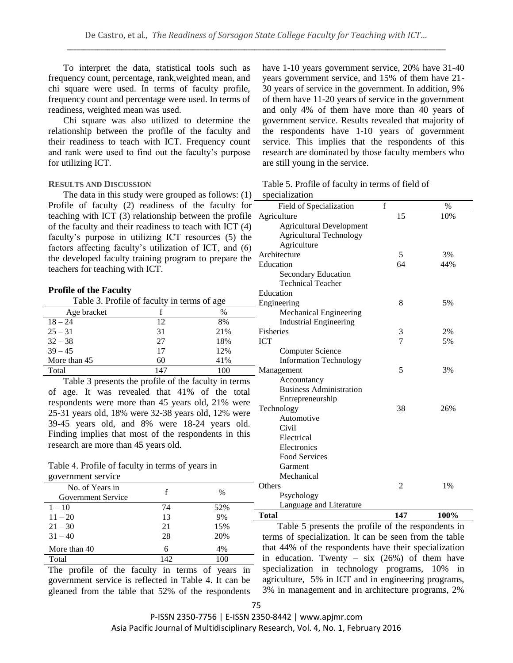To interpret the data, statistical tools such as frequency count, percentage, rank,weighted mean, and chi square were used. In terms of faculty profile, frequency count and percentage were used. In terms of readiness, weighted mean was used.

Chi square was also utilized to determine the relationship between the profile of the faculty and their readiness to teach with ICT. Frequency count and rank were used to find out the faculty's purpose for utilizing ICT.

## **RESULTS AND DISCUSSION**

The data in this study were grouped as follows: (1) Profile of faculty (2) readiness of the faculty for teaching with ICT (3) relationship between the profile of the faculty and their readiness to teach with ICT (4) faculty's purpose in utilizing ICT resources (5) the factors affecting faculty's utilization of ICT, and (6) the developed faculty training program to prepare the teachers for teaching with ICT.

#### **Profile of the Faculty**

Table 3. Profile of faculty in terms of age

| Age bracket  |     | $\%$ |   |
|--------------|-----|------|---|
| $18 - 24$    | 12  | 8%   |   |
| $25 - 31$    | 31  | 21%  | F |
| $32 - 38$    | 27  | 18%  | Ю |
| $39 - 45$    | 17  | 12%  |   |
| More than 45 | 60  | 41%  |   |
| Total        | 147 | 100  | N |

Table 3 presents the profile of the faculty in terms of age. It was revealed that 41% of the total respondents were more than 45 years old, 21% were 25-31 years old, 18% were 32-38 years old, 12% were 39-45 years old, and 8% were 18-24 years old. Finding implies that most of the respondents in this research are more than 45 years old.

| Table 4. Profile of faculty in terms of years in |  |
|--------------------------------------------------|--|
| government service                               |  |

No. of Teats in f<br>Government Service f %

No. of Years in

years government service, and 15% of them have 21- 30 years of service in the government. In addition, 9% of them have 11-20 years of service in the government and only 4% of them have more than 40 years of government service. Results revealed that majority of the respondents have 1-10 years of government service. This implies that the respondents of this research are dominated by those faculty members who

have 1-10 years government service, 20% have 31-40

Table 5. Profile of faculty in terms of field of specialization

are still young in the service.

| Language and Literature<br><b>Total</b> | 147            | 100% |
|-----------------------------------------|----------------|------|
| Psychology                              |                |      |
| Others                                  | 2              | 1%   |
| Mechanical                              |                |      |
| Garment                                 |                |      |
| <b>Food Services</b>                    |                |      |
| Electronics                             |                |      |
| Electrical                              |                |      |
| Civil                                   |                |      |
| Automotive                              |                |      |
| Technology                              | 38             | 26%  |
| Entrepreneurship                        |                |      |
| <b>Business Administration</b>          |                |      |
| Accountancy                             |                |      |
| Management                              | 5              | 3%   |
| <b>Information Technology</b>           |                |      |
| <b>Computer Science</b>                 |                |      |
| <b>ICT</b>                              | $\overline{7}$ | 5%   |
| <b>Fisheries</b>                        | 3              | 2%   |
| <b>Industrial Engineering</b>           |                |      |
| <b>Mechanical Engineering</b>           |                |      |
| Engineering                             | 8              | 5%   |
| Education                               |                |      |
| <b>Technical Teacher</b>                |                |      |
| Secondary Education                     |                |      |
| Education                               | 64             | 44%  |
| Architecture                            | 5              | 3%   |
| Agriculture                             |                |      |
| <b>Agricultural Technology</b>          |                |      |
| <b>Agricultural Development</b>         |                |      |
| Agriculture                             | 15             | 10%  |
| Field of Specialization                 | $\mathbf f$    | $\%$ |
| ,,,,,,,,,,,,,,                          |                |      |

| $1 - 10$                                  | 74                  | 52%    |
|-------------------------------------------|---------------------|--------|
| $11 - 20$                                 | 13                  | 9%     |
| $21 - 30$                                 | 21                  | 15%    |
| $31 - 40$                                 | 28                  | 20%    |
| More than 40                              | 6                   | 4%     |
| Total                                     | 142                 | 100    |
| $-1$<br>$\sim$<br>$\sim$<br>$\sim$ $\sim$ | $\bullet$<br>$\sim$ | $\sim$ |

The profile of the faculty in terms of years in government service is reflected in Table 4. It can be gleaned from the table that 52% of the respondents

Table 5 presents the profile of the respondents in terms of specialization. It can be seen from the table that 44% of the respondents have their specialization in education. Twenty – six  $(26%)$  of them have specialization in technology programs, 10% in agriculture, 5% in ICT and in engineering programs, 3% in management and in architecture programs, 2%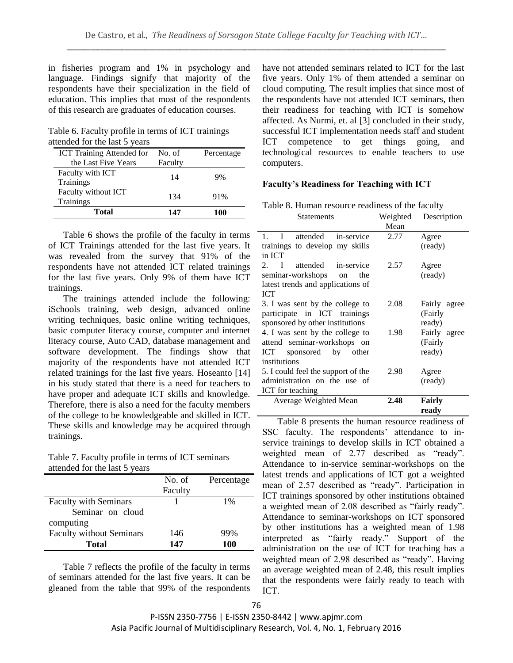in fisheries program and 1% in psychology and language. Findings signify that majority of the respondents have their specialization in the field of education. This implies that most of the respondents of this research are graduates of education courses.

Table 6. Faculty profile in terms of ICT trainings attended for the last 5 years

| <b>ICT Training Attended for</b> | No. of  | Percentage |
|----------------------------------|---------|------------|
| the Last Five Years              | Faculty |            |
| Faculty with ICT<br>Trainings    | 14      | 9%         |
| Faculty without ICT<br>Trainings | 134     | 91%        |
| <b>Total</b>                     | 147     | 100        |

Table 6 shows the profile of the faculty in terms of ICT Trainings attended for the last five years. It was revealed from the survey that 91% of the respondents have not attended ICT related trainings for the last five years. Only 9% of them have ICT trainings.

The trainings attended include the following: iSchools training, web design, advanced online writing techniques, basic online writing techniques, basic computer literacy course, computer and internet literacy course, Auto CAD, database management and software development. The findings show that majority of the respondents have not attended ICT related trainings for the last five years. Hoseanto [14] in his study stated that there is a need for teachers to have proper and adequate ICT skills and knowledge. -Therefore, there is also a need for the faculty members of the college to be knowledgeable and skilled in ICT. These skills and knowledge may be acquired through trainings.

Table 7. Faculty profile in terms of ICT seminars attended for the last 5 years

|                                 | No. of  | Percentage |
|---------------------------------|---------|------------|
|                                 | Faculty |            |
| <b>Faculty with Seminars</b>    |         | 1%         |
| Seminar on cloud                |         |            |
| computing                       |         |            |
| <b>Faculty without Seminars</b> | 146     | 99%        |
| <b>Total</b>                    | 147     | 100        |

Table 7 reflects the profile of the faculty in terms of seminars attended for the last five years. It can be gleaned from the table that 99% of the respondents

have not attended seminars related to ICT for the last five years. Only 1% of them attended a seminar on cloud computing. The result implies that since most of the respondents have not attended ICT seminars, then their readiness for teaching with ICT is somehow affected. As Nurmi, et. al [3] concluded in their study, successful ICT implementation needs staff and student ICT competence to get things going, and technological resources to enable teachers to use computers.

# **Faculty's Readiness for Teaching with ICT**

| Table 8. Human resource readiness of the faculty |  |  |  |
|--------------------------------------------------|--|--|--|
|--------------------------------------------------|--|--|--|

| <b>Statements</b>                             | Weighted | Description  |
|-----------------------------------------------|----------|--------------|
|                                               | Mean     |              |
| attended<br>$\mathbf{I}$<br>in-service<br>1.  | 2.77     | Agree        |
| trainings to develop my skills                |          | (ready)      |
| in ICT                                        |          |              |
| $\mathbf I$<br>attended in-service<br>$2^{2}$ | 2.57     | Agree        |
| seminar-workshops on<br>the                   |          | (ready)      |
| latest trends and applications of             |          |              |
| <b>ICT</b>                                    |          |              |
| 3. I was sent by the college to               | 2.08     | Fairly agree |
| participate in ICT trainings                  |          | (Fairly      |
| sponsored by other institutions               |          | ready)       |
| 4. I was sent by the college to               | 1.98     | Fairly agree |
| attend seminar-workshops on                   |          | (Fairly      |
| sponsored by<br>ICT<br>other                  |          | ready)       |
| institutions                                  |          |              |
| 5. I could feel the support of the            | 2.98     | Agree        |
| administration on the use of                  |          | (ready)      |
| ICT for teaching                              |          |              |
| Average Weighted Mean                         | 2.48     | Fairly       |
|                                               |          | readv        |

Table 8 presents the human resource readiness of SSC faculty. The respondents' attendance to inservice trainings to develop skills in ICT obtained a weighted mean of 2.77 described as "ready". Attendance to in-service seminar-workshops on the latest trends and applications of ICT got a weighted mean of 2.57 described as "ready". Participation in ICT trainings sponsored by other institutions obtained a weighted mean of 2.08 described as "fairly ready". Attendance to seminar-workshops on ICT sponsored by other institutions has a weighted mean of 1.98 interpreted as "fairly ready." Support of the administration on the use of ICT for teaching has a weighted mean of 2.98 described as "ready". Having an average weighted mean of 2.48, this result implies that the respondents were fairly ready to teach with ICT.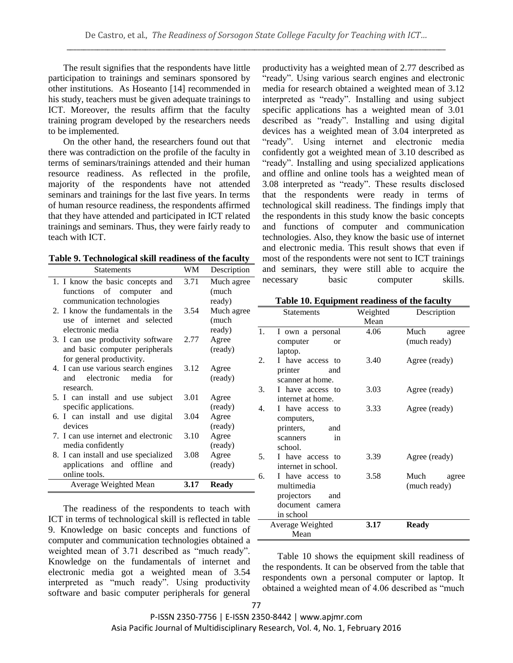The result signifies that the respondents have little participation to trainings and seminars sponsored by other institutions. As Hoseanto [14] recommended in his study, teachers must be given adequate trainings to ICT. Moreover, the results affirm that the faculty training program developed by the researchers needs to be implemented.

On the other hand, the researchers found out that there was contradiction on the profile of the faculty in terms of seminars/trainings attended and their human resource readiness. As reflected in the profile, majority of the respondents have not attended seminars and trainings for the last five years. In terms of human resource readiness, the respondents affirmed that they have attended and participated in ICT related trainings and seminars. Thus, they were fairly ready to teach with ICT.

| Table 9. Technological skill readiness of the faculty |  |  |
|-------------------------------------------------------|--|--|
|                                                       |  |  |

| <b>Statements</b>                           | WM   | Description      |
|---------------------------------------------|------|------------------|
| 1. I know the basic concepts and            | 3.71 | Much agree       |
| functions of computer<br>and                |      | (much            |
| communication technologies                  |      | ready)           |
| 2. I know the fundamentals in the           | 3.54 | Much agree       |
| use of internet and selected                |      | (much            |
| electronic media                            |      | ready)           |
| 3. I can use productivity software          | 2.77 | Agree            |
| and basic computer peripherals              |      | (ready)          |
| for general productivity.                   |      |                  |
| 4. I can use various search engines         | 3.12 | Agree            |
| media<br>and electronic<br>for              |      | (ready)          |
| research.                                   |      |                  |
| 5. I can install and use subject            | 3.01 | Agree            |
| specific applications.                      |      | (ready)          |
| 6. I can install and use digital<br>devices | 3.04 | Agree            |
| 7. I can use internet and electronic        | 3.10 | (ready)<br>Agree |
| media confidently                           |      | (ready)          |
| 8. I can install and use specialized        | 3.08 | Agree            |
| applications and offline<br>and             |      | (ready)          |
| online tools.                               |      |                  |
| Average Weighted Mean                       | 3.17 | <b>Ready</b>     |
|                                             |      |                  |

The readiness of the respondents to teach with ICT in terms of technological skill is reflected in table 9. Knowledge on basic concepts and functions of computer and communication technologies obtained a weighted mean of 3.71 described as "much ready". Knowledge on the fundamentals of internet and electronic media got a weighted mean of 3.54 interpreted as "much ready". Using productivity software and basic computer peripherals for general

productivity has a weighted mean of 2.77 described as "ready". Using various search engines and electronic media for research obtained a weighted mean of 3.12 interpreted as "ready". Installing and using subject specific applications has a weighted mean of 3.01 described as "ready". Installing and using digital devices has a weighted mean of 3.04 interpreted as "ready". Using internet and electronic media confidently got a weighted mean of 3.10 described as "ready". Installing and using specialized applications and offline and online tools has a weighted mean of 3.08 interpreted as "ready". These results disclosed that the respondents were ready in terms of technological skill readiness. The findings imply that the respondents in this study know the basic concepts and functions of computer and communication technologies. Also, they know the basic use of internet and electronic media. This result shows that even if most of the respondents were not sent to ICT trainings and seminars, they were still able to acquire the necessary basic computer skills.

|  |  |  | Table 10. Equipment readiness of the faculty |  |  |  |  |
|--|--|--|----------------------------------------------|--|--|--|--|
|--|--|--|----------------------------------------------|--|--|--|--|

|    | <b>Statements</b>   | Weighted | Description   |  |
|----|---------------------|----------|---------------|--|
|    |                     | Mean     |               |  |
| 1. | I own a personal    | 4.06     | Much<br>agree |  |
|    | computer<br>or      |          | (much ready)  |  |
|    | laptop.             |          |               |  |
| 2. | I have access to    | 3.40     | Agree (ready) |  |
|    | printer<br>and      |          |               |  |
|    | scanner at home.    |          |               |  |
| 3. | I have access to    | 3.03     | Agree (ready) |  |
|    | internet at home.   |          |               |  |
| 4. | I have access to    | 3.33     | Agree (ready) |  |
|    | computers,          |          |               |  |
|    | printers,<br>and    |          |               |  |
|    | in<br>scanners      |          |               |  |
|    | school.             |          |               |  |
| 5. | I have access to    | 3.39     | Agree (ready) |  |
|    | internet in school. |          |               |  |
| 6. | I have access to    | 3.58     | Much<br>agree |  |
|    | multimedia          |          | (much ready)  |  |
|    | projectors<br>and   |          |               |  |
|    | document camera     |          |               |  |
|    | in school           |          |               |  |
|    | Average Weighted    | 3.17     | <b>Ready</b>  |  |
|    | Mean                |          |               |  |

Table 10 shows the equipment skill readiness of the respondents. It can be observed from the table that respondents own a personal computer or laptop. It obtained a weighted mean of 4.06 described as "much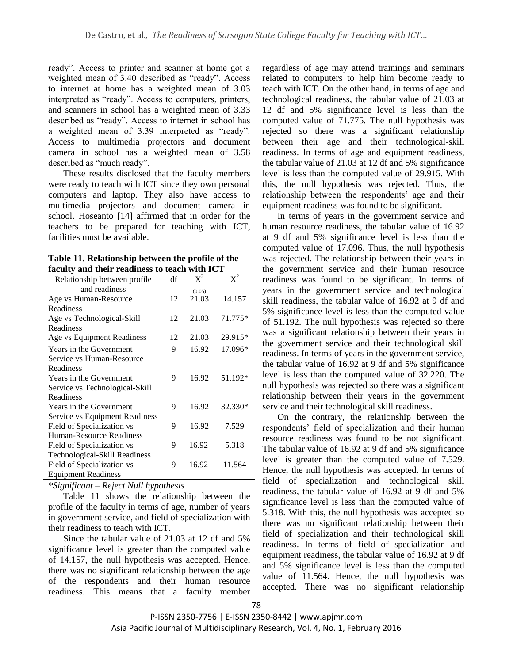ready". Access to printer and scanner at home got a weighted mean of 3.40 described as "ready". Access to internet at home has a weighted mean of 3.03 interpreted as "ready". Access to computers, printers, and scanners in school has a weighted mean of 3.33 described as "ready". Access to internet in school has a weighted mean of 3.39 interpreted as "ready". Access to multimedia projectors and document camera in school has a weighted mean of 3.58 described as "much ready".

These results disclosed that the faculty members were ready to teach with ICT since they own personal computers and laptop. They also have access to multimedia projectors and document camera in school. Hoseanto [14] affirmed that in order for the teachers to be prepared for teaching with ICT, facilities must be available.

| Table 11. Relationship between the profile of the |
|---------------------------------------------------|
| faculty and their readiness to teach with ICT     |

| Relationship between profile   | df | $X^2$  | $X^2$   |
|--------------------------------|----|--------|---------|
| and readiness                  |    | (0.05) |         |
| Age vs Human-Resource          | 12 | 21.03  | 14.157  |
| Readiness                      |    |        |         |
| Age vs Technological-Skill     | 12 | 21.03  | 71.775* |
| Readiness                      |    |        |         |
| Age vs Equipment Readiness     | 12 | 21.03  | 29.915* |
| Years in the Government        | 9  | 16.92  | 17.096* |
| Service vs Human-Resource      |    |        |         |
| Readiness                      |    |        |         |
| Years in the Government        | 9  | 16.92  | 51.192* |
| Service vs Technological-Skill |    |        |         |
| Readiness                      |    |        |         |
| Years in the Government        | 9  | 16.92  | 32.330* |
| Service vs Equipment Readiness |    |        |         |
| Field of Specialization vs     | 9  | 16.92  | 7.529   |
| Human-Resource Readiness       |    |        |         |
| Field of Specialization vs     | 9  | 16.92  | 5.318   |
| Technological-Skill Readiness  |    |        |         |
| Field of Specialization vs     | 9  | 16.92  | 11.564  |
| <b>Equipment Readiness</b>     |    |        |         |

*\*Significant – Reject Null hypothesis*

Table 11 shows the relationship between the profile of the faculty in terms of age, number of years in government service, and field of specialization with their readiness to teach with ICT.

Since the tabular value of 21.03 at 12 df and 5% significance level is greater than the computed value of 14.157, the null hypothesis was accepted. Hence, there was no significant relationship between the age of the respondents and their human resource readiness. This means that a faculty member regardless of age may attend trainings and seminars related to computers to help him become ready to teach with ICT. On the other hand, in terms of age and technological readiness, the tabular value of 21.03 at 12 df and 5% significance level is less than the computed value of 71.775. The null hypothesis was rejected so there was a significant relationship between their age and their technological-skill readiness. In terms of age and equipment readiness, the tabular value of 21.03 at 12 df and 5% significance level is less than the computed value of 29.915. With this, the null hypothesis was rejected. Thus, the relationship between the respondents' age and their equipment readiness was found to be significant.

In terms of years in the government service and human resource readiness, the tabular value of 16.92 at 9 df and 5% significance level is less than the computed value of 17.096. Thus, the null hypothesis was rejected. The relationship between their years in the government service and their human resource readiness was found to be significant. In terms of years in the government service and technological skill readiness, the tabular value of 16.92 at 9 df and 5% significance level is less than the computed value of 51.192. The null hypothesis was rejected so there was a significant relationship between their years in the government service and their technological skill readiness. In terms of years in the government service, the tabular value of 16.92 at 9 df and 5% significance level is less than the computed value of 32.220. The null hypothesis was rejected so there was a significant relationship between their years in the government service and their technological skill readiness.

On the contrary, the relationship between the respondents' field of specialization and their human resource readiness was found to be not significant. The tabular value of 16.92 at 9 df and 5% significance level is greater than the computed value of 7.529. Hence, the null hypothesis was accepted. In terms of field of specialization and technological skill readiness, the tabular value of 16.92 at 9 df and 5% significance level is less than the computed value of 5.318. With this, the null hypothesis was accepted so there was no significant relationship between their field of specialization and their technological skill readiness. In terms of field of specialization and equipment readiness, the tabular value of 16.92 at 9 df and 5% significance level is less than the computed value of 11.564. Hence, the null hypothesis was accepted. There was no significant relationship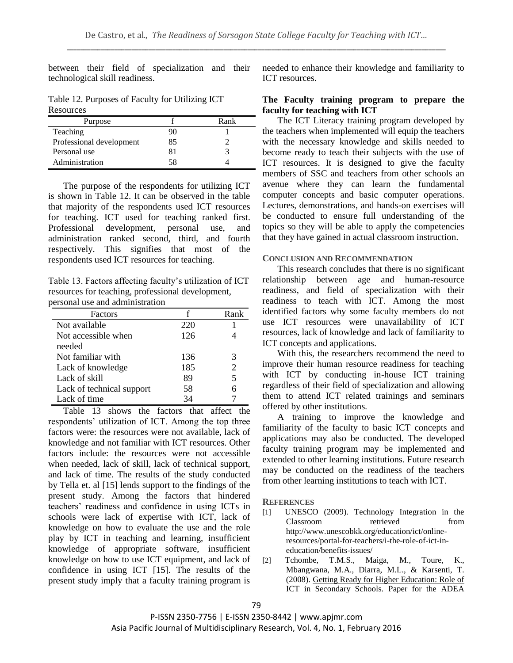between their field of specialization and their technological skill readiness.

Table 12. Purposes of Faculty for Utilizing ICT Resources

| Purpose                  |    | Rank |
|--------------------------|----|------|
| Teaching                 |    |      |
| Professional development | 85 |      |
| Personal use             |    |      |
| Administration           | 58 |      |

The purpose of the respondents for utilizing ICT is shown in Table 12. It can be observed in the table that majority of the respondents used ICT resources for teaching. ICT used for teaching ranked first. Professional development, personal use, and administration ranked second, third, and fourth respectively. This signifies that most of the respondents used ICT resources for teaching.

Table 13. Factors affecting faculty's utilization of ICT resources for teaching, professional development, personal use and administration

| Factors                   |     | Rank                  |
|---------------------------|-----|-----------------------|
| Not available             | 220 |                       |
| Not accessible when       | 126 |                       |
| needed                    |     |                       |
| Not familiar with         | 136 | 3                     |
| Lack of knowledge         | 185 | $\mathcal{D}_{\cdot}$ |
| Lack of skill             | 89  | 5                     |
| Lack of technical support | 58  |                       |
| Lack of time              | 34  |                       |

Table 13 shows the factors that affect the respondents' utilization of ICT. Among the top three factors were: the resources were not available, lack of knowledge and not familiar with ICT resources. Other factors include: the resources were not accessible when needed, lack of skill, lack of technical support, and lack of time. The results of the study conducted by Tella et. al [15] lends support to the findings of the present study. Among the factors that hindered teachers' readiness and confidence in using ICTs in schools were lack of expertise with ICT, lack of knowledge on how to evaluate the use and the role play by ICT in teaching and learning, insufficient knowledge of appropriate software, insufficient knowledge on how to use ICT equipment, and lack of confidence in using ICT [15]. The results of the present study imply that a faculty training program is

needed to enhance their knowledge and familiarity to ICT resources.

## **The Faculty training program to prepare the faculty for teaching with ICT**

The ICT Literacy training program developed by the teachers when implemented will equip the teachers with the necessary knowledge and skills needed to become ready to teach their subjects with the use of ICT resources. It is designed to give the faculty members of SSC and teachers from other schools an avenue where they can learn the fundamental computer concepts and basic computer operations. Lectures, demonstrations, and hands-on exercises will be conducted to ensure full understanding of the topics so they will be able to apply the competencies that they have gained in actual classroom instruction.

#### **CONCLUSION AND RECOMMENDATION**

This research concludes that there is no significant relationship between age and human-resource readiness, and field of specialization with their readiness to teach with ICT. Among the most identified factors why some faculty members do not use ICT resources were unavailability of ICT resources, lack of knowledge and lack of familiarity to ICT concepts and applications.

With this, the researchers recommend the need to improve their human resource readiness for teaching with ICT by conducting in-house ICT training regardless of their field of specialization and allowing them to attend ICT related trainings and seminars offered by other institutions.

A training to improve the knowledge and familiarity of the faculty to basic ICT concepts and applications may also be conducted. The developed faculty training program may be implemented and extended to other learning institutions. Future research may be conducted on the readiness of the teachers from other learning institutions to teach with ICT.

## **REFERENCES**

- [1] UNESCO (2009). Technology Integration in the Classroom retrieved from http://www.unescobkk.org/education/ict/onlineresources/portal-for-teachers/i-the-role-of-ict-ineducation/benefits-issues/
- [2] Tchombe, T.M.S., Maiga, M., Toure, K., Mbangwana, M.A., Diarra, M.L., & Karsenti, T. (2008). Getting Ready for Higher Education: Role of ICT in Secondary Schools. Paper for the ADEA